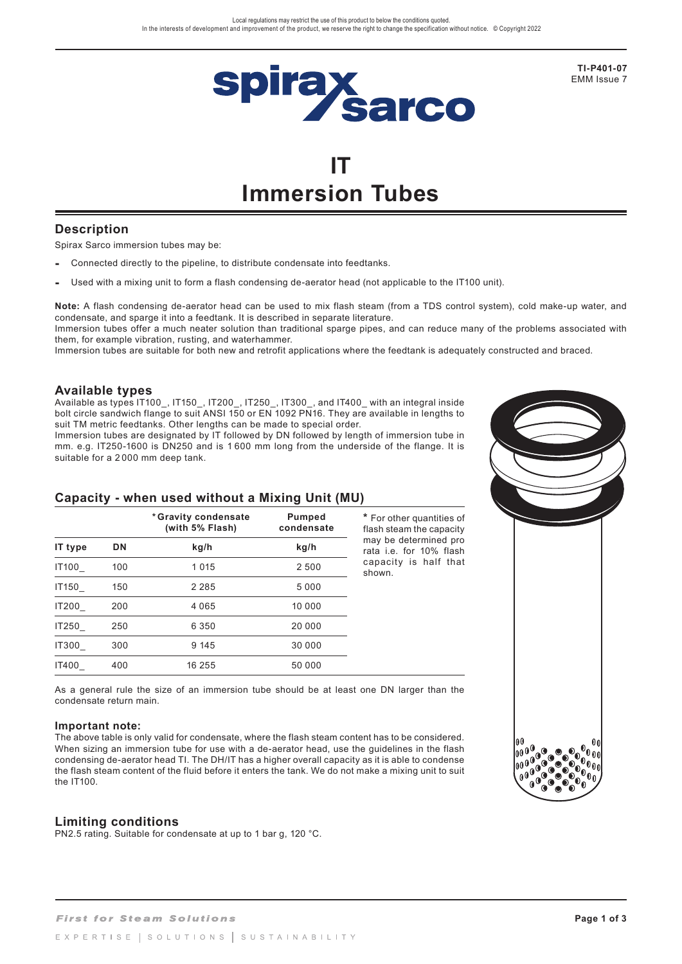

**TI-P401-07**  EMM Issue 7

# **IT Immersion Tubes**

# **Description**

Spirax Sarco immersion tubes may be:

- **-** Connected directly to the pipeline, to distribute condensate into feedtanks.
- **-** Used with a mixing unit to form a flash condensing de-aerator head (not applicable to the IT100 unit).

**Note:** A flash condensing de-aerator head can be used to mix flash steam (from a TDS control system), cold make-up water, and condensate, and sparge it into a feedtank. It is described in separate literature. Immersion tubes offer a much neater solution than traditional sparge pipes, and can reduce many of the problems associated with

them, for example vibration, rusting, and waterhammer.

Immersion tubes are suitable for both new and retrofit applications where the feedtank is adequately constructed and braced.

### **Available types**

Available as types IT100\_, IT150\_, IT200\_, IT250\_, IT300\_, and IT400\_ with an integral inside bolt circle sandwich flange to suit ANSI 150 or EN 1092 PN16. They are available in lengths to suit TM metric feedtanks. Other lengths can be made to special order.

Immersion tubes are designated by IT followed by DN followed by length of immersion tube in mm. e.g. IT250-1600 is DN250 and is 1 600 mm long from the underside of the flange. It is suitable for a 2 000 mm deep tank.



| IT type      | <b>DN</b> | kg/h    | kg/h    | may be determined<br>rata <i>i.e.</i> for 10% fla |
|--------------|-----------|---------|---------|---------------------------------------------------|
| IT100        | 100       | 1 0 1 5 | 2 500   | capacity is half th<br>shown.                     |
| IT150        | 150       | 2 2 8 5 | 5 0 0 0 |                                                   |
| IT200        | 200       | 4 0 6 5 | 10 000  |                                                   |
| IT250        | 250       | 6 3 5 0 | 20 000  |                                                   |
| <b>IT300</b> | 300       | 9 1 4 5 | 30 000  |                                                   |
| <b>IT400</b> | 400       | 16 255  | 50 000  |                                                   |

**\*** For other quantities of flash steam the capacity may be determined pro rata i.e. for 10% flash capacity is half that

As a general rule the size of an immersion tube should be at least one DN larger than the condensate return main.

#### **Important note:**

The above table is only valid for condensate, where the flash steam content has to be considered. When sizing an immersion tube for use with a de-aerator head, use the guidelines in the flash condensing de-aerator head TI. The DH/IT has a higher overall capacity as it is able to condense the flash steam content of the fluid before it enters the tank. We do not make a mixing unit to suit the IT100.

### **Limiting conditions**

PN2.5 rating. Suitable for condensate at up to 1 bar g, 120 °C.

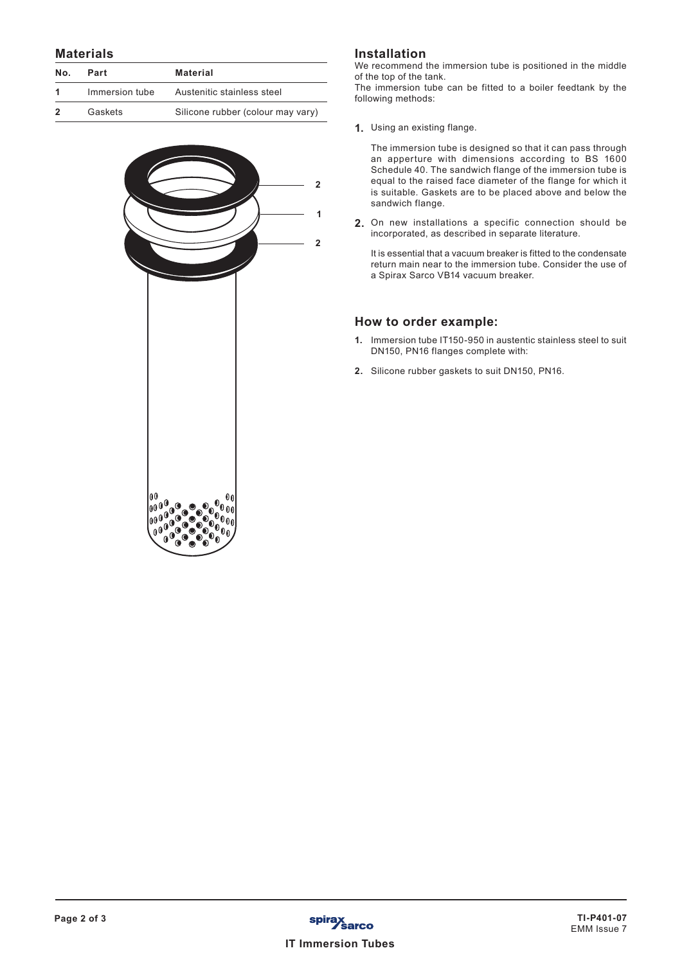#### **Materials**

| No. | Part           | <b>Material</b>                   |  |
|-----|----------------|-----------------------------------|--|
|     | Immersion tube | Austenitic stainless steel        |  |
|     | Gaskets        | Silicone rubber (colour may vary) |  |



## **Installation**

**1**

We recommend the immersion tube is positioned in the middle of the top of the tank.

The immersion tube can be fitted to a boiler feedtank by the following methods:

**1.** Using an existing flange.

The immersion tube is designed so that it can pass through an apperture with dimensions according to BS 1600 Schedule 40. The sandwich flange of the immersion tube is equal to the raised face diameter of the flange for which it is suitable. Gaskets are to be placed above and below the sandwich flange.

**2.** On new installations a specific connection should be incorporated, as described in separate literature.

It is essential that a vacuum breaker is fitted to the condensate return main near to the immersion tube. Consider the use of a Spirax Sarco VB14 vacuum breaker.

### **How to order example:**

- **1.** Immersion tube IT150-950 in austentic stainless steel to suit DN150, PN16 flanges complete with:
- **2.** Silicone rubber gaskets to suit DN150, PN16.